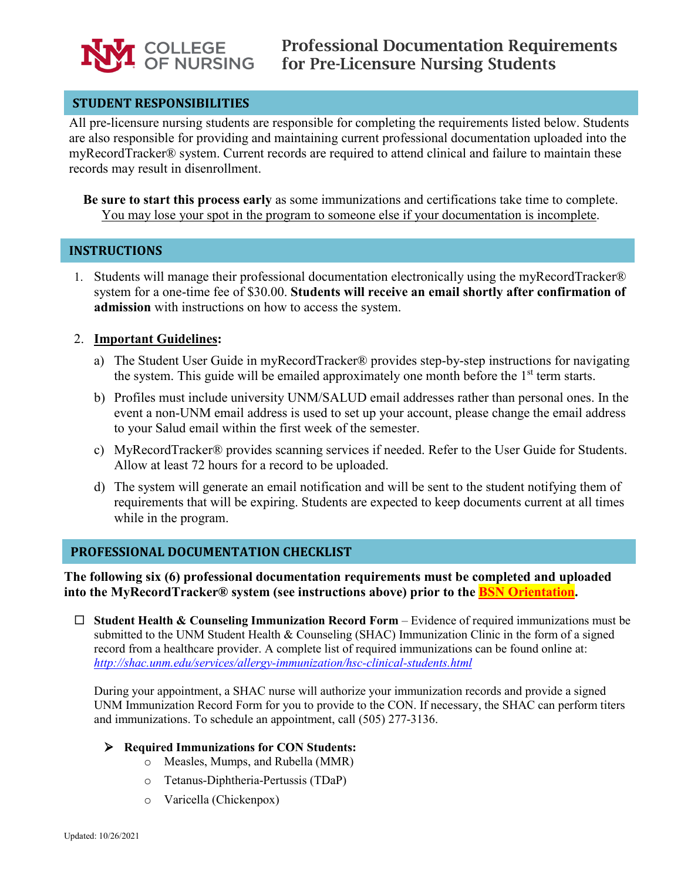

## **STUDENT RESPONSIBILITIES**

All pre-licensure nursing students are responsible for completing the requirements listed below. Students are also responsible for providing and maintaining current professional documentation uploaded into the myRecordTracker® system. Current records are required to attend clinical and failure to maintain these records may result in disenrollment.

**Be sure to start this process early** as some immunizations and certifications take time to complete. You may lose your spot in the program to someone else if your documentation is incomplete.

## **INSTRUCTIONS**

1. Students will manage their professional documentation electronically using the myRecordTracker® system for a one-time fee of \$30.00. **Students will receive an email shortly after confirmation of admission** with instructions on how to access the system.

### 2. **Important Guidelines:**

- a) The Student User Guide in myRecordTracker® provides step-by-step instructions for navigating the system. This guide will be emailed approximately one month before the  $1<sup>st</sup>$  term starts.
- b) Profiles must include university UNM/SALUD email addresses rather than personal ones. In the event a non-UNM email address is used to set up your account, please change the email address to your Salud email within the first week of the semester.
- c) MyRecordTracker® provides scanning services if needed. Refer to the User Guide for Students. Allow at least 72 hours for a record to be uploaded.
- d) The system will generate an email notification and will be sent to the student notifying them of requirements that will be expiring. Students are expected to keep documents current at all times while in the program.

### **PROFESSIONAL DOCUMENTATION CHECKLIST**

**The following six (6) professional documentation requirements must be completed and uploaded into the MyRecordTracker® system (see instructions above) prior to the BSN Orientation.**

 **Student Health & Counseling Immunization Record Form** *–* Evidence of required immunizations must be submitted to the UNM Student Health & Counseling (SHAC) Immunization Clinic in the form of a signed record from a healthcare provider. A complete list of required immunizations can be found online at: *<http://shac.unm.edu/services/allergy-immunization/hsc-clinical-students.html>*

During your appointment, a SHAC nurse will authorize your immunization records and provide a signed UNM Immunization Record Form for you to provide to the CON. If necessary, the SHAC can perform titers and immunizations. To schedule an appointment, call (505) 277-3136.

#### **Required Immunizations for CON Students:**

- o Measles, Mumps, and Rubella (MMR)
- o Tetanus-Diphtheria-Pertussis (TDaP)
- o Varicella (Chickenpox)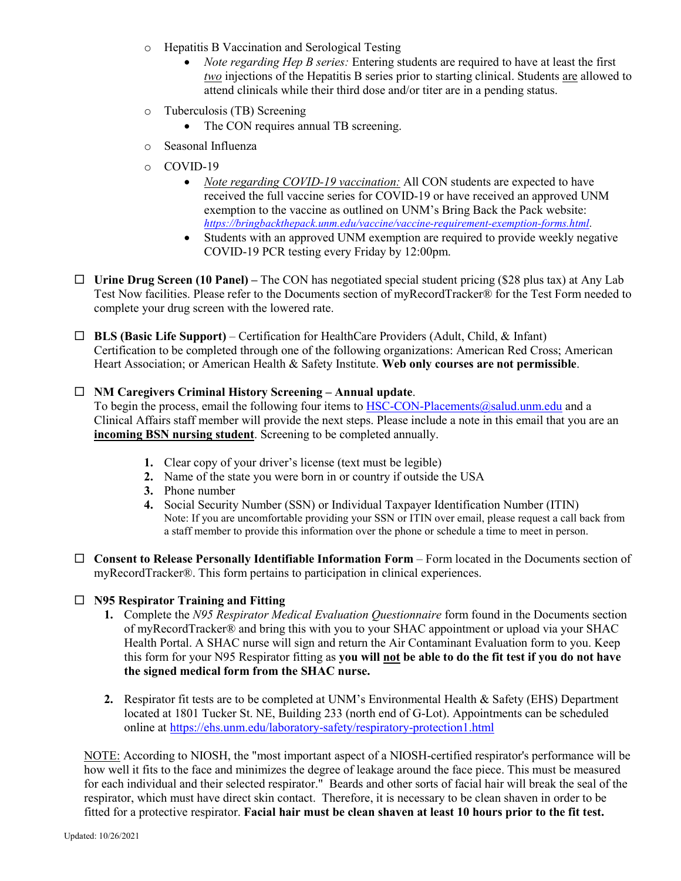- o Hepatitis B Vaccination and Serological Testing
	- *Note regarding Hep B series:* Entering students are required to have at least the first *two* injections of the Hepatitis B series prior to starting clinical. Students are allowed to attend clinicals while their third dose and/or titer are in a pending status.
- o Tuberculosis (TB) Screening
	- The CON requires annual TB screening.
- o Seasonal Influenza
- o COVID-19
	- *Note regarding COVID-19 vaccination:* All CON students are expected to have received the full vaccine series for COVID-19 or have received an approved UNM exemption to the vaccine as outlined on UNM's Bring Back the Pack website: *<https://bringbackthepack.unm.edu/vaccine/vaccine-requirement-exemption-forms.html>*.
	- Students with an approved UNM exemption are required to provide weekly negative COVID-19 PCR testing every Friday by 12:00pm.
- **Urine Drug Screen (10 Panel) –** The CON has negotiated special student pricing (\$28 plus tax) at Any Lab Test Now facilities. Please refer to the Documents section of myRecordTracker® for the Test Form needed to complete your drug screen with the lowered rate.
- **BLS (Basic Life Support)**  Certification for HealthCare Providers (Adult, Child, & Infant) Certification to be completed through one of the following organizations: American Red Cross; American Heart Association; or American Health & Safety Institute. **Web only courses are not permissible**.

#### **NM Caregivers Criminal History Screening – Annual update**.

To begin the process, email the following four items to [HSC-CON-Placements@salud.unm.edu](mailto:HSC-CON-Placements@salud.unm.edu) and a Clinical Affairs staff member will provide the next steps. Please include a note in this email that you are an **incoming BSN nursing student**. Screening to be completed annually.

- **1.** Clear copy of your driver's license (text must be legible)
- **2.** Name of the state you were born in or country if outside the USA
- **3.** Phone number
- **4.** Social Security Number (SSN) or Individual Taxpayer Identification Number (ITIN) Note: If you are uncomfortable providing your SSN or ITIN over email, please request a call back from a staff member to provide this information over the phone or schedule a time to meet in person.
- **Consent to Release Personally Identifiable Information Form** Form located in the Documents section of myRecordTracker®. This form pertains to participation in clinical experiences.

#### **N95 Respirator Training and Fitting**

- **1.** Complete the *N95 Respirator Medical Evaluation Questionnaire* form found in the Documents section of myRecordTracker® and bring this with you to your SHAC appointment or upload via your SHAC Health Portal. A SHAC nurse will sign and return the Air Contaminant Evaluation form to you. Keep this form for your N95 Respirator fitting as **you will not be able to do the fit test if you do not have the signed medical form from the SHAC nurse.**
- **2.** Respirator fit tests are to be completed at UNM's Environmental Health & Safety (EHS) Department located at 1801 Tucker St. NE, Building 233 (north end of G-Lot). Appointments can be scheduled online at <https://ehs.unm.edu/laboratory-safety/respiratory-protection1.html>

NOTE: According to NIOSH, the "most important aspect of a NIOSH-certified respirator's performance will be how well it fits to the face and minimizes the degree of leakage around the face piece. This must be measured for each individual and their selected respirator." Beards and other sorts of facial hair will break the seal of the respirator, which must have direct skin contact. Therefore, it is necessary to be clean shaven in order to be fitted for a protective respirator. **Facial hair must be clean shaven at least 10 hours prior to the fit test.**